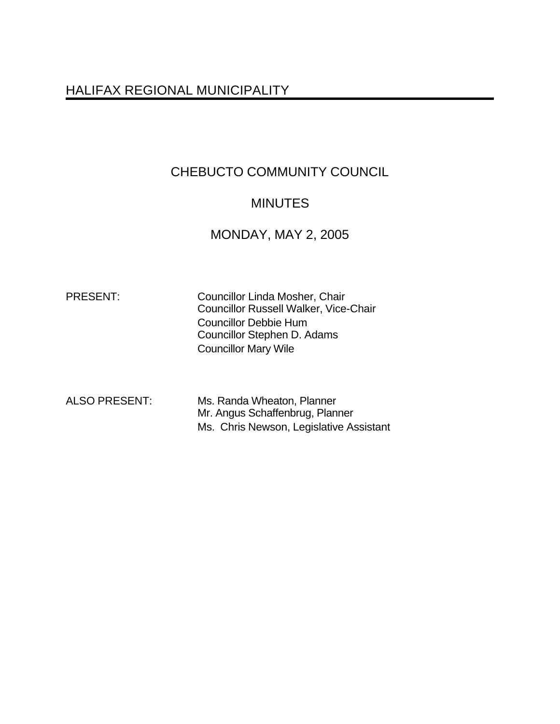# HALIFAX REGIONAL MUNICIPALITY

# CHEBUCTO COMMUNITY COUNCIL

# MINUTES

## MONDAY, MAY 2, 2005

PRESENT: Councillor Linda Mosher, Chair Councillor Russell Walker, Vice-Chair Councillor Debbie Hum Councillor Stephen D. Adams Councillor Mary Wile

ALSO PRESENT: Ms. Randa Wheaton, Planner Mr. Angus Schaffenbrug, Planner Ms. Chris Newson, Legislative Assistant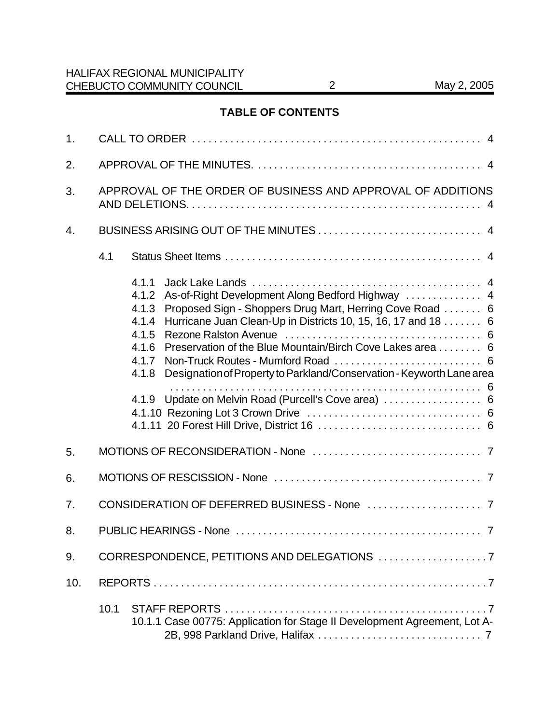## **TABLE OF CONTENTS**

| 1.  |                                                             |                                                                                                                                                                                                                                                                                                                                                                                                                                                    |  |  |
|-----|-------------------------------------------------------------|----------------------------------------------------------------------------------------------------------------------------------------------------------------------------------------------------------------------------------------------------------------------------------------------------------------------------------------------------------------------------------------------------------------------------------------------------|--|--|
| 2.  |                                                             |                                                                                                                                                                                                                                                                                                                                                                                                                                                    |  |  |
| 3.  | APPROVAL OF THE ORDER OF BUSINESS AND APPROVAL OF ADDITIONS |                                                                                                                                                                                                                                                                                                                                                                                                                                                    |  |  |
| 4.  |                                                             |                                                                                                                                                                                                                                                                                                                                                                                                                                                    |  |  |
|     | 4.1                                                         |                                                                                                                                                                                                                                                                                                                                                                                                                                                    |  |  |
|     |                                                             | 4.1.1<br>As-of-Right Development Along Bedford Highway  4<br>4.1.2<br>Proposed Sign - Shoppers Drug Mart, Herring Cove Road  6<br>4.1.3<br>Hurricane Juan Clean-Up in Districts 10, 15, 16, 17 and 18 6<br>4.1.4<br>4.1.5<br>Preservation of the Blue Mountain/Birch Cove Lakes area 6<br>4.1.6<br>4.1.7<br>Designation of Property to Parkland/Conservation - Keyworth Lane area<br>4.1.8<br>4.1.9 Update on Melvin Road (Purcell's Cove area)  6 |  |  |
| 5.  |                                                             |                                                                                                                                                                                                                                                                                                                                                                                                                                                    |  |  |
| 6.  |                                                             |                                                                                                                                                                                                                                                                                                                                                                                                                                                    |  |  |
| 7.  |                                                             |                                                                                                                                                                                                                                                                                                                                                                                                                                                    |  |  |
| 8.  |                                                             |                                                                                                                                                                                                                                                                                                                                                                                                                                                    |  |  |
| 9.  |                                                             |                                                                                                                                                                                                                                                                                                                                                                                                                                                    |  |  |
| 10. |                                                             |                                                                                                                                                                                                                                                                                                                                                                                                                                                    |  |  |
|     | 10.1                                                        | 10.1.1 Case 00775: Application for Stage II Development Agreement, Lot A-                                                                                                                                                                                                                                                                                                                                                                          |  |  |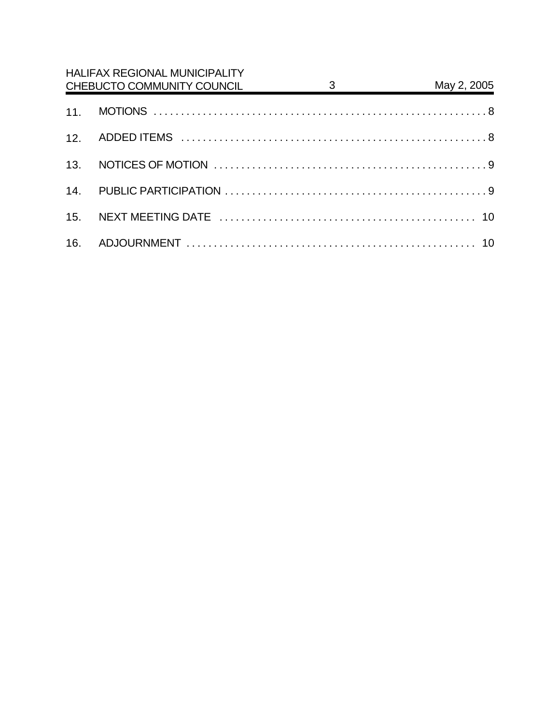| <b>HALIFAX REGIONAL MUNICIPALITY</b><br>May 2, 2005<br>$\frac{3}{2}$<br>CHEBUCTO COMMUNITY COUNCIL |  |  |  |  |
|----------------------------------------------------------------------------------------------------|--|--|--|--|
|                                                                                                    |  |  |  |  |
|                                                                                                    |  |  |  |  |
|                                                                                                    |  |  |  |  |
|                                                                                                    |  |  |  |  |
|                                                                                                    |  |  |  |  |
|                                                                                                    |  |  |  |  |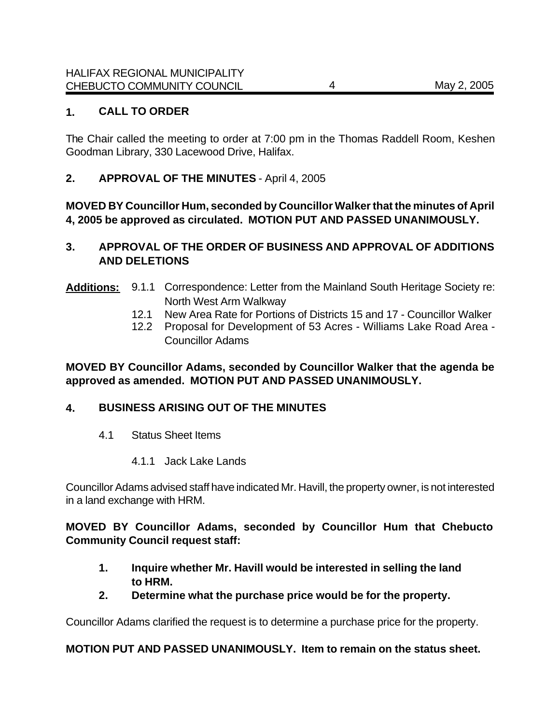## **1. CALL TO ORDER**

The Chair called the meeting to order at 7:00 pm in the Thomas Raddell Room, Keshen Goodman Library, 330 Lacewood Drive, Halifax.

## **2. APPROVAL OF THE MINUTES** - April 4, 2005

**MOVED BY Councillor Hum, seconded by Councillor Walker that the minutes of April 4, 2005 be approved as circulated. MOTION PUT AND PASSED UNANIMOUSLY.** 

## **3. APPROVAL OF THE ORDER OF BUSINESS AND APPROVAL OF ADDITIONS AND DELETIONS**

- **Additions:** 9.1.1 Correspondence: Letter from the Mainland South Heritage Society re: North West Arm Walkway
	- 12.1 New Area Rate for Portions of Districts 15 and 17 Councillor Walker
	- 12.2 Proposal for Development of 53 Acres Williams Lake Road Area Councillor Adams

## **MOVED BY Councillor Adams, seconded by Councillor Walker that the agenda be approved as amended. MOTION PUT AND PASSED UNANIMOUSLY.**

## **4. BUSINESS ARISING OUT OF THE MINUTES**

- 4.1 Status Sheet Items
	- 4.1.1 Jack Lake Lands

Councillor Adams advised staff have indicated Mr. Havill, the property owner, is not interested in a land exchange with HRM.

## **MOVED BY Councillor Adams, seconded by Councillor Hum that Chebucto Community Council request staff:**

- **1. Inquire whether Mr. Havill would be interested in selling the land to HRM.**
- **2. Determine what the purchase price would be for the property.**

Councillor Adams clarified the request is to determine a purchase price for the property.

## **MOTION PUT AND PASSED UNANIMOUSLY. Item to remain on the status sheet.**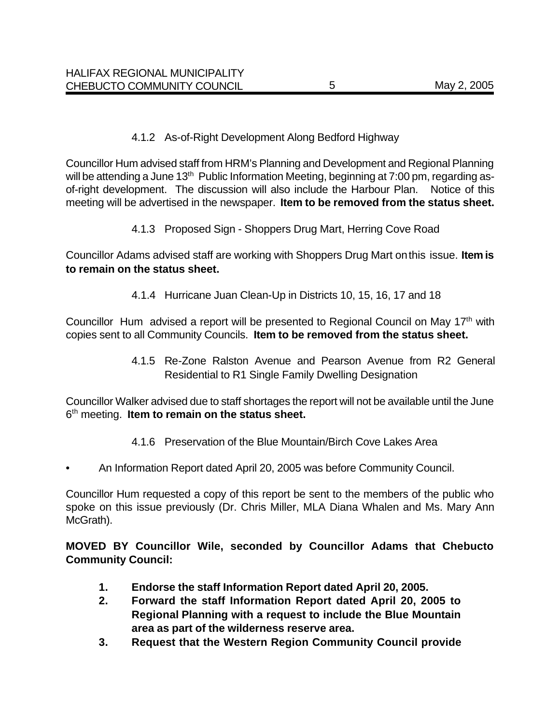### 4.1.2 As-of-Right Development Along Bedford Highway

Councillor Hum advised staff from HRM's Planning and Development and Regional Planning will be attending a June 13<sup>th</sup> Public Information Meeting, beginning at 7:00 pm, regarding asof-right development. The discussion will also include the Harbour Plan. Notice of this meeting will be advertised in the newspaper. **Item to be removed from the status sheet.**

4.1.3 Proposed Sign - Shoppers Drug Mart, Herring Cove Road

Councillor Adams advised staff are working with Shoppers Drug Mart on this issue. **Item is to remain on the status sheet.** 

4.1.4 Hurricane Juan Clean-Up in Districts 10, 15, 16, 17 and 18

Councillor Hum advised a report will be presented to Regional Council on May 17<sup>th</sup> with copies sent to all Community Councils. **Item to be removed from the status sheet.** 

> 4.1.5 Re-Zone Ralston Avenue and Pearson Avenue from R2 General Residential to R1 Single Family Dwelling Designation

Councillor Walker advised due to staff shortages the report will not be available until the June 6 th meeting. **Item to remain on the status sheet.**

- 4.1.6 Preservation of the Blue Mountain/Birch Cove Lakes Area
- An Information Report dated April 20, 2005 was before Community Council.

Councillor Hum requested a copy of this report be sent to the members of the public who spoke on this issue previously (Dr. Chris Miller, MLA Diana Whalen and Ms. Mary Ann McGrath).

**MOVED BY Councillor Wile, seconded by Councillor Adams that Chebucto Community Council:**

- **1. Endorse the staff Information Report dated April 20, 2005.**
- **2. Forward the staff Information Report dated April 20, 2005 to Regional Planning with a request to include the Blue Mountain area as part of the wilderness reserve area.**
- **3. Request that the Western Region Community Council provide**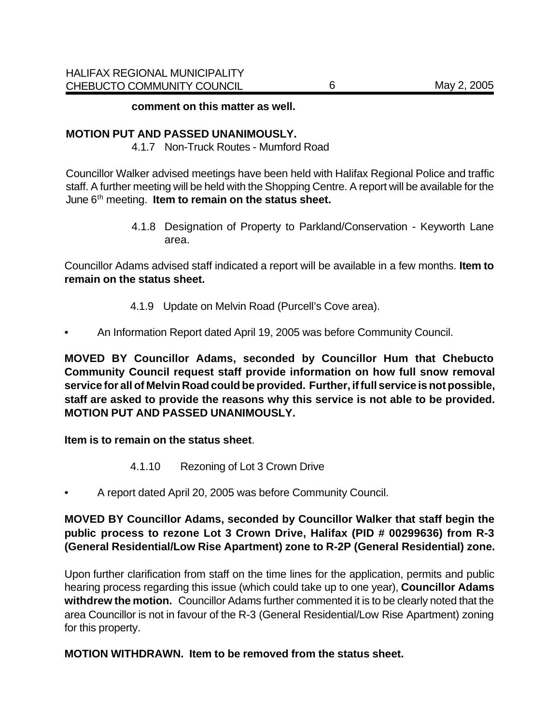#### **comment on this matter as well.**

#### **MOTION PUT AND PASSED UNANIMOUSLY.**

4.1.7 Non-Truck Routes - Mumford Road

Councillor Walker advised meetings have been held with Halifax Regional Police and traffic staff. A further meeting will be held with the Shopping Centre. A report will be available for the June 6<sup>th</sup> meeting. **Item to remain on the status sheet.** 

> 4.1.8 Designation of Property to Parkland/Conservation - Keyworth Lane area.

Councillor Adams advised staff indicated a report will be available in a few months. **Item to remain on the status sheet.** 

- 4.1.9 Update on Melvin Road (Purcell's Cove area).
- An Information Report dated April 19, 2005 was before Community Council.

**MOVED BY Councillor Adams, seconded by Councillor Hum that Chebucto Community Council request staff provide information on how full snow removal service for all of Melvin Road could be provided. Further, if full service is not possible, staff are asked to provide the reasons why this service is not able to be provided. MOTION PUT AND PASSED UNANIMOUSLY.** 

**Item is to remain on the status sheet**.

- 4.1.10 Rezoning of Lot 3 Crown Drive
- A report dated April 20, 2005 was before Community Council.

**MOVED BY Councillor Adams, seconded by Councillor Walker that staff begin the public process to rezone Lot 3 Crown Drive, Halifax (PID # 00299636) from R-3 (General Residential/Low Rise Apartment) zone to R-2P (General Residential) zone.**

Upon further clarification from staff on the time lines for the application, permits and public hearing process regarding this issue (which could take up to one year), **Councillor Adams withdrew the motion.** Councillor Adams further commented it is to be clearly noted that the area Councillor is not in favour of the R-3 (General Residential/Low Rise Apartment) zoning for this property.

**MOTION WITHDRAWN. Item to be removed from the status sheet.**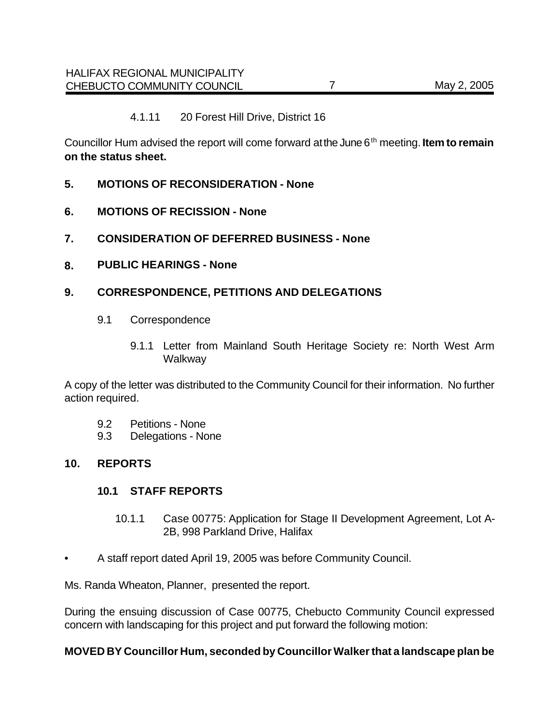#### 4.1.11 20 Forest Hill Drive, District 16

Councillor Hum advised the report will come forward at the June 6<sup>th</sup> meeting. **Item to remain on the status sheet.** 

- **5. MOTIONS OF RECONSIDERATION None**
- **6. MOTIONS OF RECISSION None**
- **7. CONSIDERATION OF DEFERRED BUSINESS None**
- **8. PUBLIC HEARINGS None**

### **9. CORRESPONDENCE, PETITIONS AND DELEGATIONS**

- 9.1 Correspondence
	- 9.1.1 Letter from Mainland South Heritage Society re: North West Arm Walkway

A copy of the letter was distributed to the Community Council for their information. No further action required.

- 9.2 Petitions None
- 9.3 Delegations None

#### **10. REPORTS**

#### **10.1 STAFF REPORTS**

- 10.1.1 Case 00775: Application for Stage II Development Agreement, Lot A-2B, 998 Parkland Drive, Halifax
- A staff report dated April 19, 2005 was before Community Council.

Ms. Randa Wheaton, Planner, presented the report.

During the ensuing discussion of Case 00775, Chebucto Community Council expressed concern with landscaping for this project and put forward the following motion:

#### **MOVED BY Councillor Hum, seconded by Councillor Walker that a landscape plan be**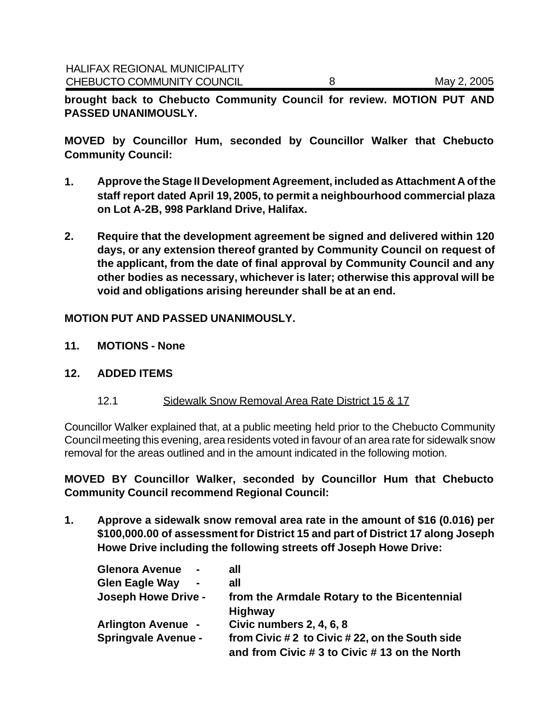**brought back to Chebucto Community Council for review. MOTION PUT AND PASSED UNANIMOUSLY.** 

**MOVED by Councillor Hum, seconded by Councillor Walker that Chebucto Community Council:** 

- **1. Approve the Stage II Development Agreement, included as Attachment A of the staff report dated April 19, 2005, to permit a neighbourhood commercial plaza on Lot A-2B, 998 Parkland Drive, Halifax.**
- **2. Require that the development agreement be signed and delivered within 120 days, or any extension thereof granted by Community Council on request of the applicant, from the date of final approval by Community Council and any other bodies as necessary, whichever is later; otherwise this approval will be void and obligations arising hereunder shall be at an end.**

### **MOTION PUT AND PASSED UNANIMOUSLY.**

- **11. MOTIONS None**
- **12. ADDED ITEMS**
	- 12.1 Sidewalk Snow Removal Area Rate District 15 & 17

Councillor Walker explained that, at a public meeting held prior to the Chebucto Community Council meeting this evening, area residents voted in favour of an area rate for sidewalk snow removal for the areas outlined and in the amount indicated in the following motion.

**MOVED BY Councillor Walker, seconded by Councillor Hum that Chebucto Community Council recommend Regional Council:**

**1. Approve a sidewalk snow removal area rate in the amount of \$16 (0.016) per \$100,000.00 of assessment for District 15 and part of District 17 along Joseph Howe Drive including the following streets off Joseph Howe Drive:**

| <b>Glenora Avenue</b><br>$\blacksquare$ | all                                             |
|-----------------------------------------|-------------------------------------------------|
| <b>Glen Eagle Way</b><br>$\blacksquare$ | all                                             |
| <b>Joseph Howe Drive -</b>              | from the Armdale Rotary to the Bicentennial     |
|                                         | <b>Highway</b>                                  |
| <b>Arlington Avenue -</b>               | <b>Civic numbers 2, 4, 6, 8</b>                 |
| <b>Springvale Avenue -</b>              | from Civic # 2 to Civic # 22, on the South side |
|                                         | and from Civic # 3 to Civic # 13 on the North   |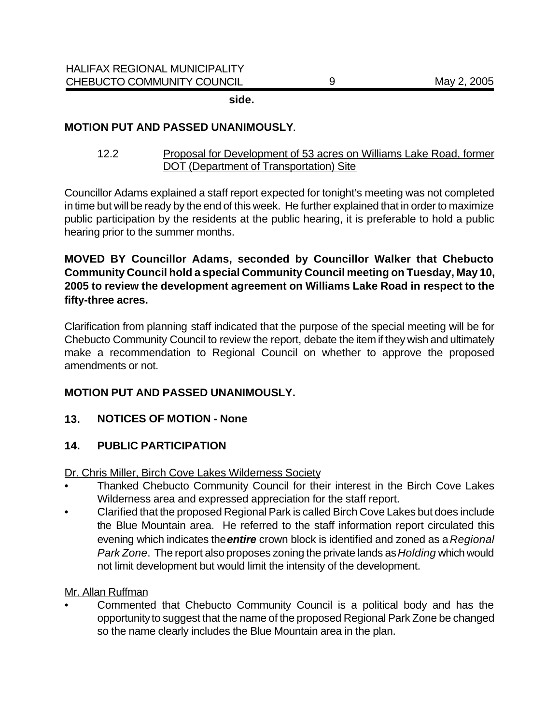**side.**

### **MOTION PUT AND PASSED UNANIMOUSLY**.

12.2 Proposal for Development of 53 acres on Williams Lake Road, former DOT (Department of Transportation) Site

Councillor Adams explained a staff report expected for tonight's meeting was not completed in time but will be ready by the end of this week. He further explained that in order to maximize public participation by the residents at the public hearing, it is preferable to hold a public hearing prior to the summer months.

**MOVED BY Councillor Adams, seconded by Councillor Walker that Chebucto Community Council hold a special Community Council meeting on Tuesday, May 10, 2005 to review the development agreement on Williams Lake Road in respect to the fifty-three acres.** 

Clarification from planning staff indicated that the purpose of the special meeting will be for Chebucto Community Council to review the report, debate the item if they wish and ultimately make a recommendation to Regional Council on whether to approve the proposed amendments or not.

## **MOTION PUT AND PASSED UNANIMOUSLY.**

## **13. NOTICES OF MOTION - None**

## **14. PUBLIC PARTICIPATION**

Dr. Chris Miller, Birch Cove Lakes Wilderness Society

- Thanked Chebucto Community Council for their interest in the Birch Cove Lakes Wilderness area and expressed appreciation for the staff report.
- Clarified that the proposed Regional Park is called Birch Cove Lakes but does include the Blue Mountain area. He referred to the staff information report circulated this evening which indicates the *entire* crown block is identified and zoned as a *Regional Park Zone*. The report also proposes zoning the private lands as *Holding* which would not limit development but would limit the intensity of the development.

### Mr. Allan Ruffman

• Commented that Chebucto Community Council is a political body and has the opportunity to suggest that the name of the proposed Regional Park Zone be changed so the name clearly includes the Blue Mountain area in the plan.